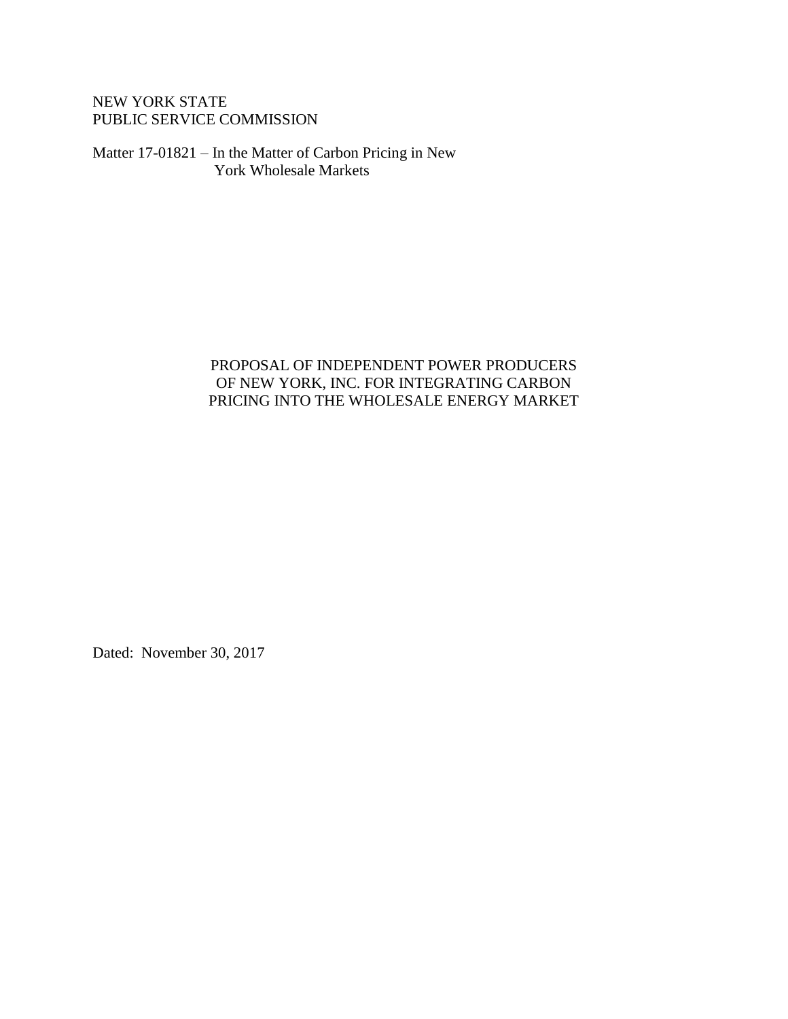NEW YORK STATE PUBLIC SERVICE COMMISSION

Matter 17-01821 – In the Matter of Carbon Pricing in New York Wholesale Markets

# PROPOSAL OF INDEPENDENT POWER PRODUCERS OF NEW YORK, INC. FOR INTEGRATING CARBON PRICING INTO THE WHOLESALE ENERGY MARKET

Dated: November 30, 2017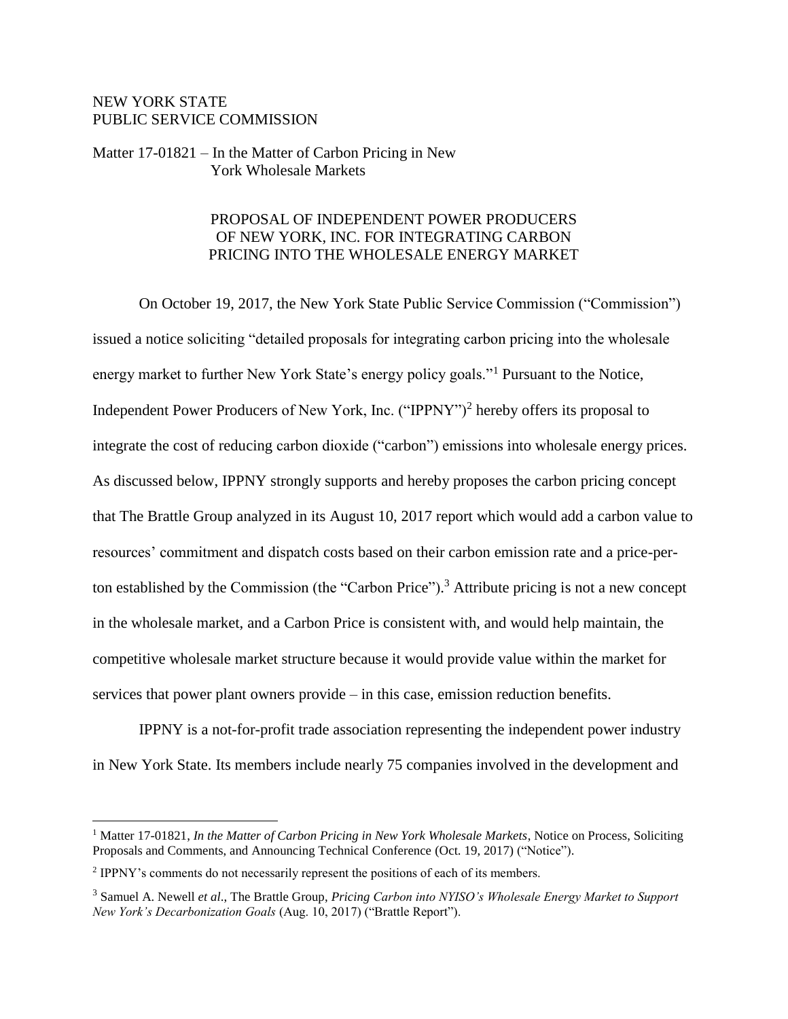# NEW YORK STATE PUBLIC SERVICE COMMISSION

# Matter 17-01821 – In the Matter of Carbon Pricing in New York Wholesale Markets

# PROPOSAL OF INDEPENDENT POWER PRODUCERS OF NEW YORK, INC. FOR INTEGRATING CARBON PRICING INTO THE WHOLESALE ENERGY MARKET

On October 19, 2017, the New York State Public Service Commission ("Commission") issued a notice soliciting "detailed proposals for integrating carbon pricing into the wholesale energy market to further New York State's energy policy goals."<sup>1</sup> Pursuant to the Notice, Independent Power Producers of New York, Inc. ("IPPNY")<sup>2</sup> hereby offers its proposal to integrate the cost of reducing carbon dioxide ("carbon") emissions into wholesale energy prices. As discussed below, IPPNY strongly supports and hereby proposes the carbon pricing concept that The Brattle Group analyzed in its August 10, 2017 report which would add a carbon value to resources' commitment and dispatch costs based on their carbon emission rate and a price-perton established by the Commission (the "Carbon Price"). <sup>3</sup> Attribute pricing is not a new concept in the wholesale market, and a Carbon Price is consistent with, and would help maintain, the competitive wholesale market structure because it would provide value within the market for services that power plant owners provide – in this case, emission reduction benefits.

IPPNY is a not-for-profit trade association representing the independent power industry in New York State. Its members include nearly 75 companies involved in the development and

 $\overline{a}$ 

<sup>&</sup>lt;sup>1</sup> Matter 17-01821, *In the Matter of Carbon Pricing in New York Wholesale Markets*, Notice on Process, Soliciting Proposals and Comments, and Announcing Technical Conference (Oct. 19, 2017) ("Notice").

<sup>&</sup>lt;sup>2</sup> IPPNY's comments do not necessarily represent the positions of each of its members.

<sup>3</sup> Samuel A. Newell *et al*., The Brattle Group, *Pricing Carbon into NYISO's Wholesale Energy Market to Support New York's Decarbonization Goals* (Aug. 10, 2017) ("Brattle Report").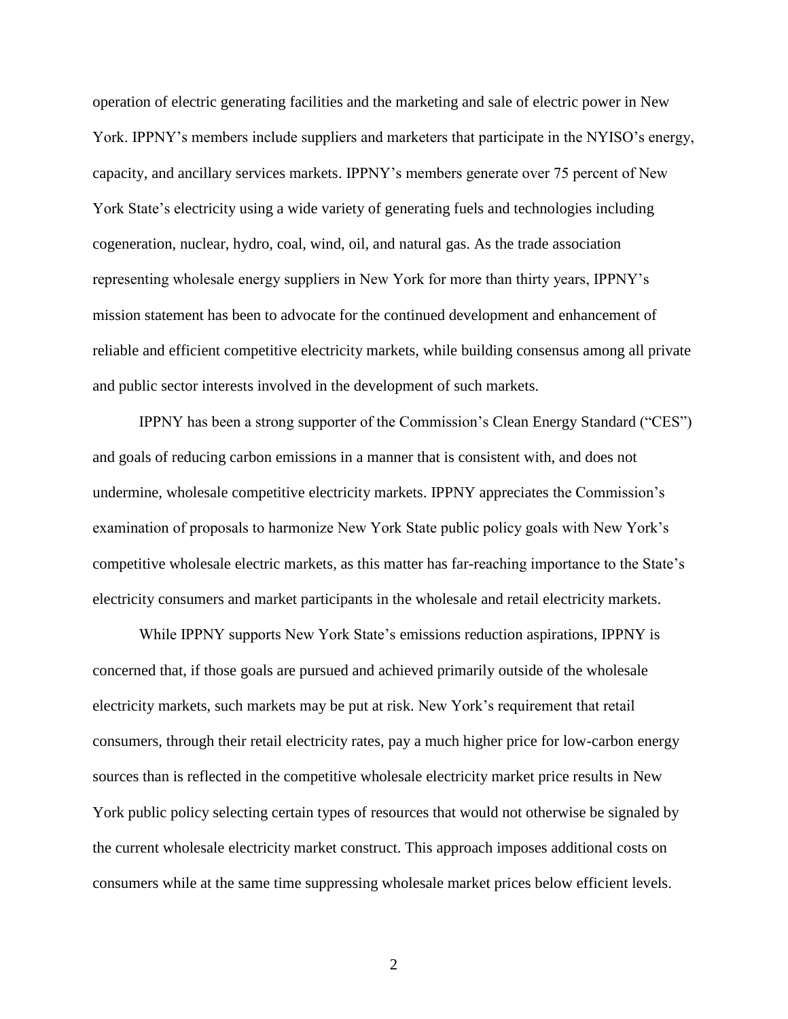operation of electric generating facilities and the marketing and sale of electric power in New York. IPPNY's members include suppliers and marketers that participate in the NYISO's energy, capacity, and ancillary services markets. IPPNY's members generate over 75 percent of New York State's electricity using a wide variety of generating fuels and technologies including cogeneration, nuclear, hydro, coal, wind, oil, and natural gas. As the trade association representing wholesale energy suppliers in New York for more than thirty years, IPPNY's mission statement has been to advocate for the continued development and enhancement of reliable and efficient competitive electricity markets, while building consensus among all private and public sector interests involved in the development of such markets.

IPPNY has been a strong supporter of the Commission's Clean Energy Standard ("CES") and goals of reducing carbon emissions in a manner that is consistent with, and does not undermine, wholesale competitive electricity markets. IPPNY appreciates the Commission's examination of proposals to harmonize New York State public policy goals with New York's competitive wholesale electric markets, as this matter has far-reaching importance to the State's electricity consumers and market participants in the wholesale and retail electricity markets.

While IPPNY supports New York State's emissions reduction aspirations, IPPNY is concerned that, if those goals are pursued and achieved primarily outside of the wholesale electricity markets, such markets may be put at risk. New York's requirement that retail consumers, through their retail electricity rates, pay a much higher price for low-carbon energy sources than is reflected in the competitive wholesale electricity market price results in New York public policy selecting certain types of resources that would not otherwise be signaled by the current wholesale electricity market construct. This approach imposes additional costs on consumers while at the same time suppressing wholesale market prices below efficient levels.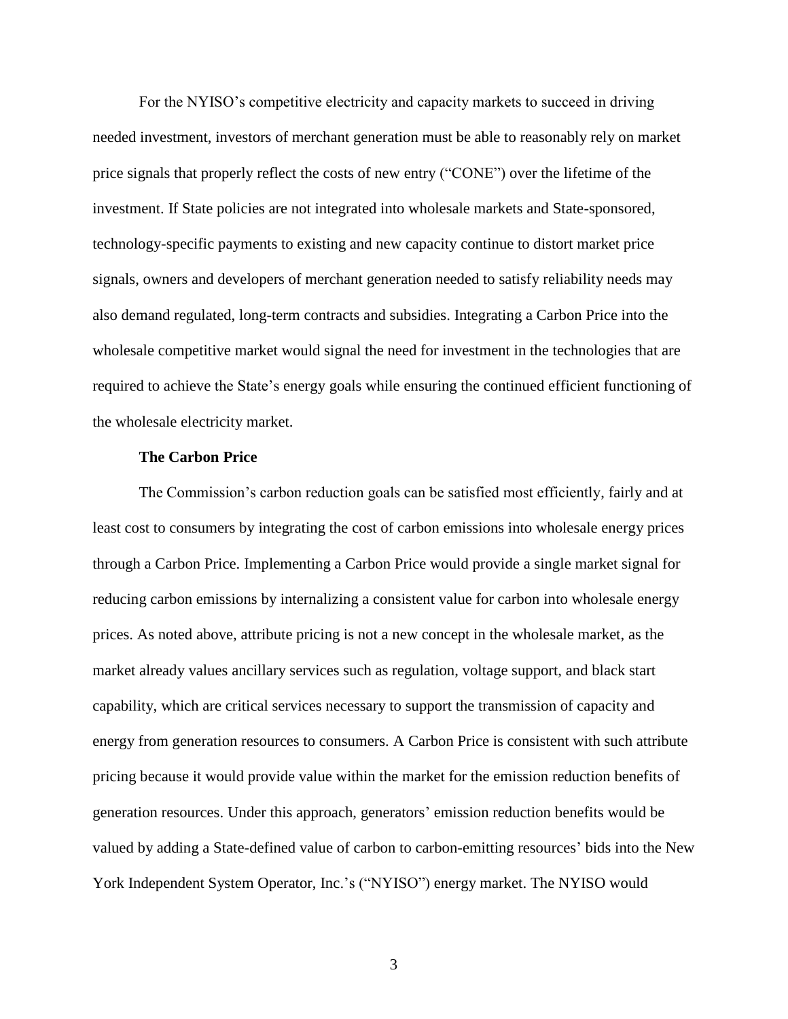For the NYISO's competitive electricity and capacity markets to succeed in driving needed investment, investors of merchant generation must be able to reasonably rely on market price signals that properly reflect the costs of new entry ("CONE") over the lifetime of the investment. If State policies are not integrated into wholesale markets and State-sponsored, technology-specific payments to existing and new capacity continue to distort market price signals, owners and developers of merchant generation needed to satisfy reliability needs may also demand regulated, long-term contracts and subsidies. Integrating a Carbon Price into the wholesale competitive market would signal the need for investment in the technologies that are required to achieve the State's energy goals while ensuring the continued efficient functioning of the wholesale electricity market.

#### **The Carbon Price**

The Commission's carbon reduction goals can be satisfied most efficiently, fairly and at least cost to consumers by integrating the cost of carbon emissions into wholesale energy prices through a Carbon Price. Implementing a Carbon Price would provide a single market signal for reducing carbon emissions by internalizing a consistent value for carbon into wholesale energy prices. As noted above, attribute pricing is not a new concept in the wholesale market, as the market already values ancillary services such as regulation, voltage support, and black start capability, which are critical services necessary to support the transmission of capacity and energy from generation resources to consumers. A Carbon Price is consistent with such attribute pricing because it would provide value within the market for the emission reduction benefits of generation resources. Under this approach, generators' emission reduction benefits would be valued by adding a State-defined value of carbon to carbon-emitting resources' bids into the New York Independent System Operator, Inc.'s ("NYISO") energy market. The NYISO would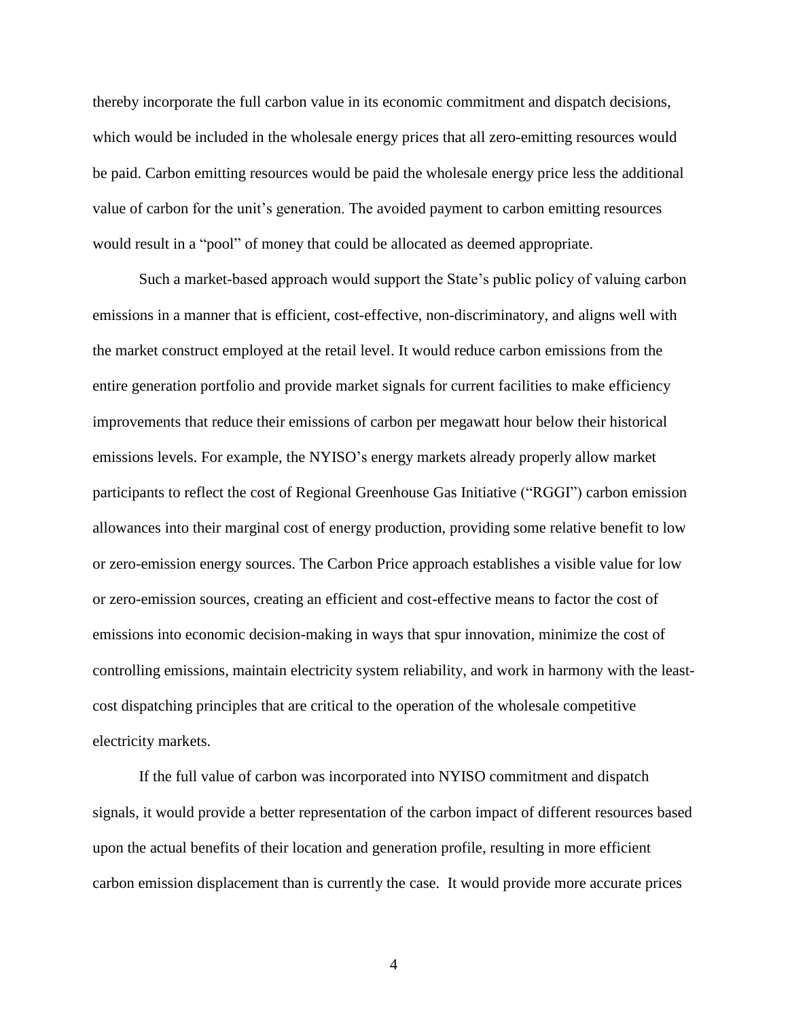thereby incorporate the full carbon value in its economic commitment and dispatch decisions, which would be included in the wholesale energy prices that all zero-emitting resources would be paid. Carbon emitting resources would be paid the wholesale energy price less the additional value of carbon for the unit's generation. The avoided payment to carbon emitting resources would result in a "pool" of money that could be allocated as deemed appropriate.

Such a market-based approach would support the State's public policy of valuing carbon emissions in a manner that is efficient, cost-effective, non-discriminatory, and aligns well with the market construct employed at the retail level. It would reduce carbon emissions from the entire generation portfolio and provide market signals for current facilities to make efficiency improvements that reduce their emissions of carbon per megawatt hour below their historical emissions levels. For example, the NYISO's energy markets already properly allow market participants to reflect the cost of Regional Greenhouse Gas Initiative ("RGGI") carbon emission allowances into their marginal cost of energy production, providing some relative benefit to low or zero-emission energy sources. The Carbon Price approach establishes a visible value for low or zero-emission sources, creating an efficient and cost-effective means to factor the cost of emissions into economic decision-making in ways that spur innovation, minimize the cost of controlling emissions, maintain electricity system reliability, and work in harmony with the leastcost dispatching principles that are critical to the operation of the wholesale competitive electricity markets.

If the full value of carbon was incorporated into NYISO commitment and dispatch signals, it would provide a better representation of the carbon impact of different resources based upon the actual benefits of their location and generation profile, resulting in more efficient carbon emission displacement than is currently the case. It would provide more accurate prices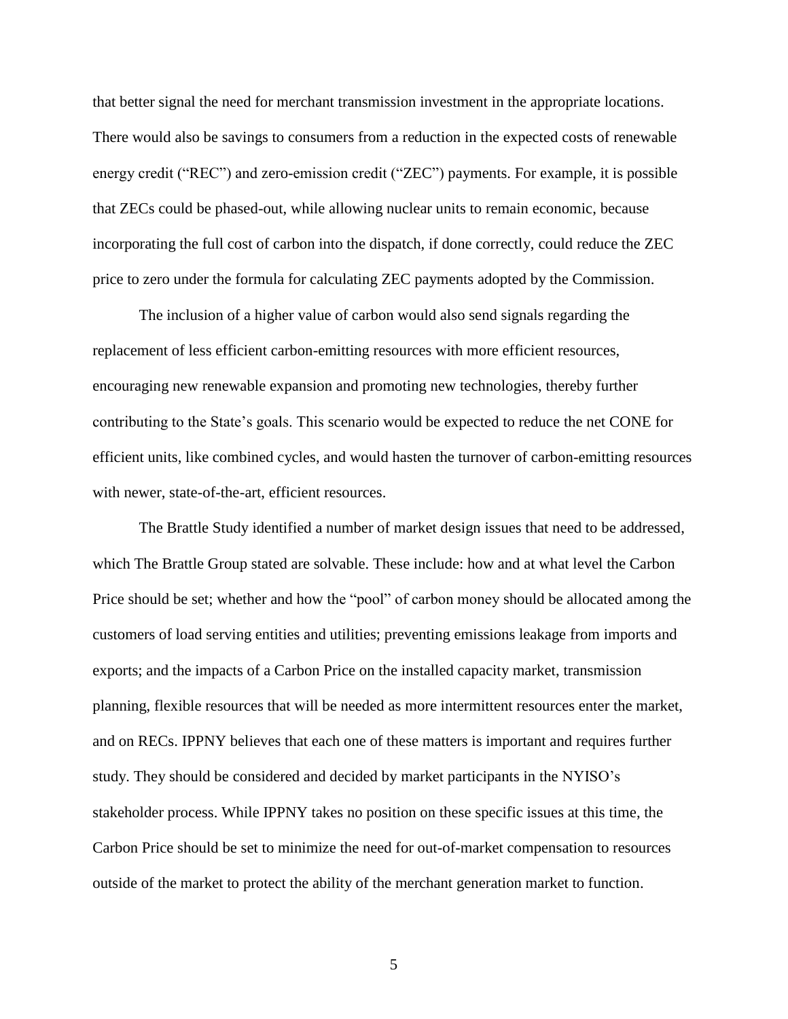that better signal the need for merchant transmission investment in the appropriate locations. There would also be savings to consumers from a reduction in the expected costs of renewable energy credit ("REC") and zero-emission credit ("ZEC") payments. For example, it is possible that ZECs could be phased-out, while allowing nuclear units to remain economic, because incorporating the full cost of carbon into the dispatch, if done correctly, could reduce the ZEC price to zero under the formula for calculating ZEC payments adopted by the Commission.

The inclusion of a higher value of carbon would also send signals regarding the replacement of less efficient carbon-emitting resources with more efficient resources, encouraging new renewable expansion and promoting new technologies, thereby further contributing to the State's goals. This scenario would be expected to reduce the net CONE for efficient units, like combined cycles, and would hasten the turnover of carbon-emitting resources with newer, state-of-the-art, efficient resources.

The Brattle Study identified a number of market design issues that need to be addressed, which The Brattle Group stated are solvable. These include: how and at what level the Carbon Price should be set; whether and how the "pool" of carbon money should be allocated among the customers of load serving entities and utilities; preventing emissions leakage from imports and exports; and the impacts of a Carbon Price on the installed capacity market, transmission planning, flexible resources that will be needed as more intermittent resources enter the market, and on RECs. IPPNY believes that each one of these matters is important and requires further study. They should be considered and decided by market participants in the NYISO's stakeholder process. While IPPNY takes no position on these specific issues at this time, the Carbon Price should be set to minimize the need for out-of-market compensation to resources outside of the market to protect the ability of the merchant generation market to function.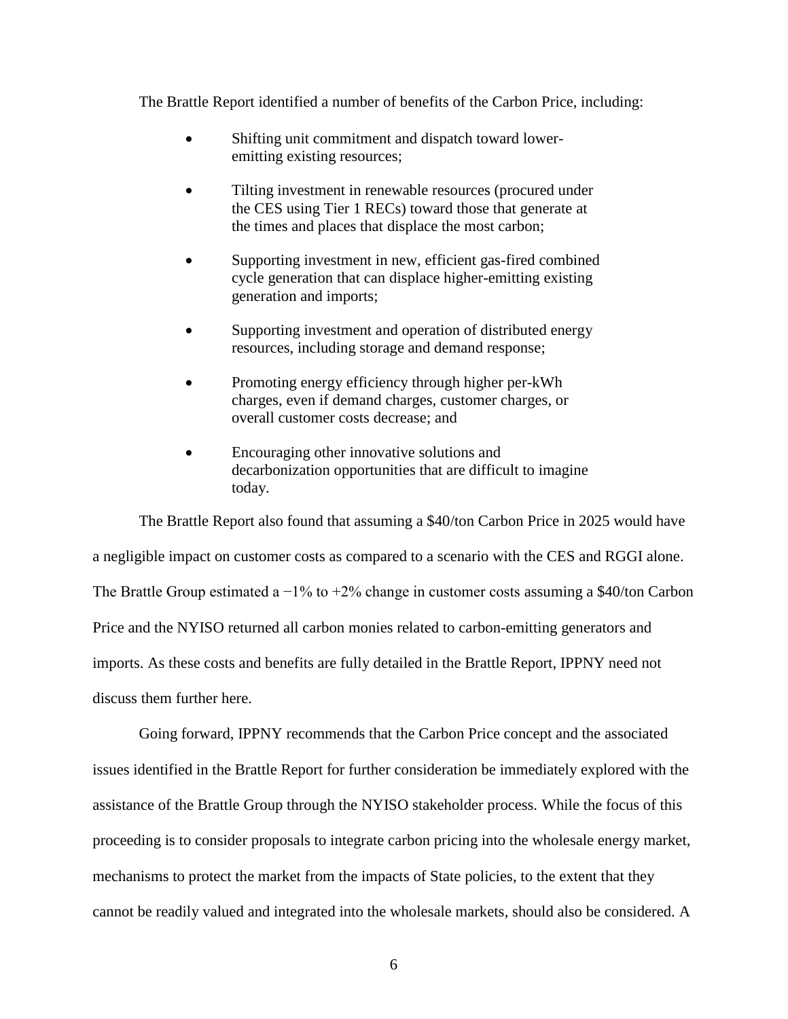The Brattle Report identified a number of benefits of the Carbon Price, including:

- Shifting unit commitment and dispatch toward loweremitting existing resources;
- Tilting investment in renewable resources (procured under the CES using Tier 1 RECs) toward those that generate at the times and places that displace the most carbon;
- Supporting investment in new, efficient gas-fired combined cycle generation that can displace higher-emitting existing generation and imports;
- Supporting investment and operation of distributed energy resources, including storage and demand response;
- Promoting energy efficiency through higher per-kWh charges, even if demand charges, customer charges, or overall customer costs decrease; and
- Encouraging other innovative solutions and decarbonization opportunities that are difficult to imagine today.

The Brattle Report also found that assuming a \$40/ton Carbon Price in 2025 would have a negligible impact on customer costs as compared to a scenario with the CES and RGGI alone. The Brattle Group estimated a  $-1\%$  to  $+2\%$  change in customer costs assuming a \$40/ton Carbon Price and the NYISO returned all carbon monies related to carbon-emitting generators and imports. As these costs and benefits are fully detailed in the Brattle Report, IPPNY need not discuss them further here.

Going forward, IPPNY recommends that the Carbon Price concept and the associated issues identified in the Brattle Report for further consideration be immediately explored with the assistance of the Brattle Group through the NYISO stakeholder process. While the focus of this proceeding is to consider proposals to integrate carbon pricing into the wholesale energy market, mechanisms to protect the market from the impacts of State policies, to the extent that they cannot be readily valued and integrated into the wholesale markets, should also be considered. A